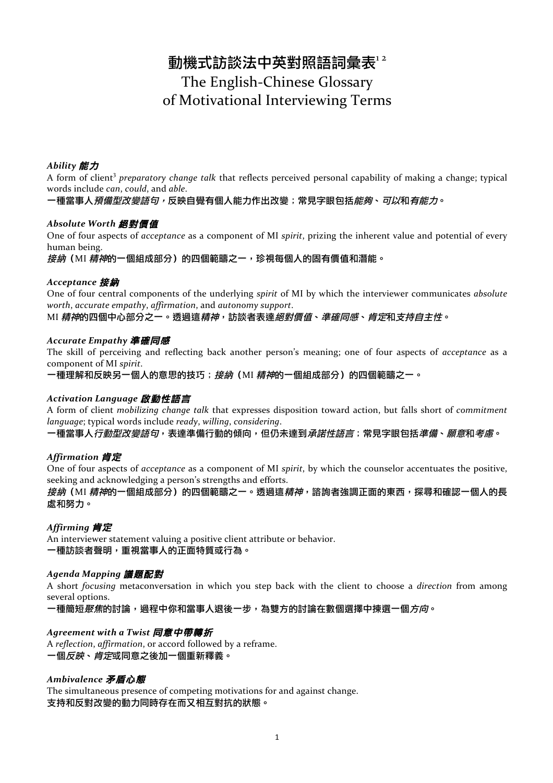# 動機式訪談法中英對照語詞彙表12 The English-Chinese Glossary of Motivational Interviewing Terms

# *Ability* 能力

A form of client<sup>3</sup> preparatory change talk that reflects perceived personal capability of making a change; typical words include *can*, *could*, and *able*.

一種當事人預備型改變語句,反映自覺有個人能力作出改變;常見字眼包括能夠、可以和有能力。

#### *Absolute Worth* 絕對價值

One of four aspects of *acceptance* as a component of MI *spirit*, prizing the inherent value and potential of every human being.

接納 (MI 精神的一個組成部分)的四個範疇之一,珍視每個人的固有價值和潛能。

### *Acceptance* 接納

One of four central components of the underlying *spirit* of MI by which the interviewer communicates *absolute worth, accurate empathy, affirmation, and autonomy support.* 

MI 精神的四個中心部分之一。透過這*精神*,訪談者表達*絕對價值、準確同感、肯定*和支*持自主性*。

#### *Accurate Empathy* 準確同感

The skill of perceiving and reflecting back another person's meaning; one of four aspects of *acceptance* as a component of MI *spirit*.

一種理解和反映另一個人的意思的技巧;*接納*(MI *精神*的一個組成部分)的四個範疇之一。

### *Activation Language* 啟動性語言

A form of client *mobilizing* change talk that expresses disposition toward action, but falls short of *commitment language*; typical words include *ready*, *willing*, *considering*.

一種當事人*行動型改變語句*,表達準備行動的傾向,但仍未達到*承諾性語言*;常見字眼包括*準備、願意*和*考慮*。

### *Affirmation* 肯定

One of four aspects of *acceptance* as a component of MI *spirit*, by which the counselor accentuates the positive, seeking and acknowledging a person's strengths and efforts.

*接納*(MI *精神*的一個組成部分)的四個範疇之一。透過這*精神*,諮詢者強調正面的東西,探尋和確認一個人的長 處和努力。

### *Affirming* 肯定

An interviewer statement valuing a positive client attribute or behavior. 一種訪談者聲明,重視當事人的正面特質或行為。

### *Agenda Mapping* 議題配對

A short *focusing* metaconversation in which you step back with the client to choose a *direction* from among several options.

一種簡短*聚焦*的討論,過程中你和當事人退後一步,為雙方的討論在數個選擇中揀選一個*方向*。

### *Agreement with a Twist* 同意中帶轉折

A *reflection*, *affirmation*, or accord followed by a reframe. 一個*反映、肯定*或同意之後加一個重新釋義。

# *Ambivalence* 矛盾心態

The simultaneous presence of competing motivations for and against change. 支持和反對改變的動力同時存在而又相互對抗的狀態。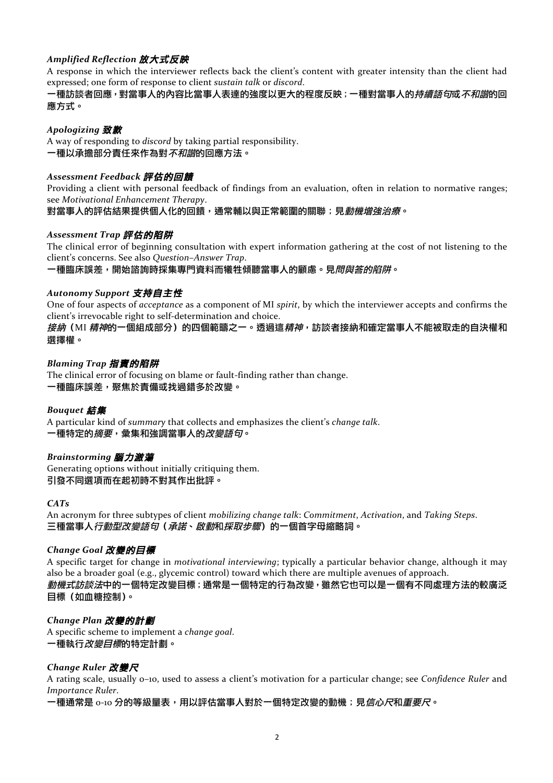# *Amplified Reflection* 放大式反映

A response in which the interviewer reflects back the client's content with greater intensity than the client had expressed; one form of response to client *sustain talk* or *discord*.

### 一種訪談者回應,對當事人的內容比當事人表達的強度以更大的程度反映;一種對當事人的*持續語句或不和諧*的回 應方式。

### *Apologizing* 致歉

A way of responding to *discord* by taking partial responsibility. 一種以承擔部分責任來作為對*不和諧*的回應方法。

### *Assessment Feedback* 評估的回饋

Providing a client with personal feedback of findings from an evaluation, often in relation to normative ranges; see *Motivational Enhancement Therapy*.

對當事人的評估結果提供個人化的回饋,通常輔以與正常範圍的關聯;見*動機增強治療*。

### *Assessment Trap* 評估的陷阱

The clinical error of beginning consultation with expert information gathering at the cost of not listening to the client's concerns. See also *Question-Answer Trap*.

-種臨床誤差,開始諮詢時採集專門資料而犧牲傾聽當事人的顧慮。見*問與答的陷阱*。

### *Autonomy Support* 支持自主性

One of four aspects of *acceptance* as a component of MI *spirit*, by which the interviewer accepts and confirms the client's irrevocable right to self-determination and choice.

*接納*(MI *精神*的一個組成部分)的四個範疇之一。透過這*精神,*訪談者接納和確定當事人不能被取走的自決權和 選擇權。

# *Blaming Trap* 指責的陷阱

The clinical error of focusing on blame or fault-finding rather than change. 一種臨床誤差,聚焦於責備或找過錯多於改變。

### *Bouquet* 結集

A particular kind of *summary* that collects and emphasizes the client's *change talk*. 一種特定的*摘要*,彙集和強調當事人的*改變語句*。

### *Brainstorming* 腦力激蕩

Generating options without initially critiquing them. 引發不同選項而在起初時不對其作出批評。

### *CATs*

An acronym for three subtypes of client *mobilizing change talk:* Commitment, Activation, and Taking Steps. 三種當事人行動型改變語句(承諾、啟動和採取步驟)的一個首字母縮略詞。

### *Change Goal* 改變的目標

A specific target for change in *motivational interviewing*; typically a particular behavior change, although it may also be a broader goal  $(e.g., glycemic control)$  toward which there are multiple avenues of approach. *動機式訪談法*中的一個特定改變目標;通常是一個特定的行為改變,雖然它也可以是一個有不同處理方法的較廣泛 目標(如血糖控制)。

### *Change Plan* 改變的計劃

A specific scheme to implement a *change goal*. 一種執行*改變目標*的特定計劃。

### *Change Ruler* 改變尺

A rating scale, usually 0–10, used to assess a client's motivation for a particular change; see *Confidence Ruler* and *Importance Ruler*.

一種通常是 o-10 分的等級量表,用以評估當事人對於一個特定改變的動機;見*信心尺*和*重要尺*。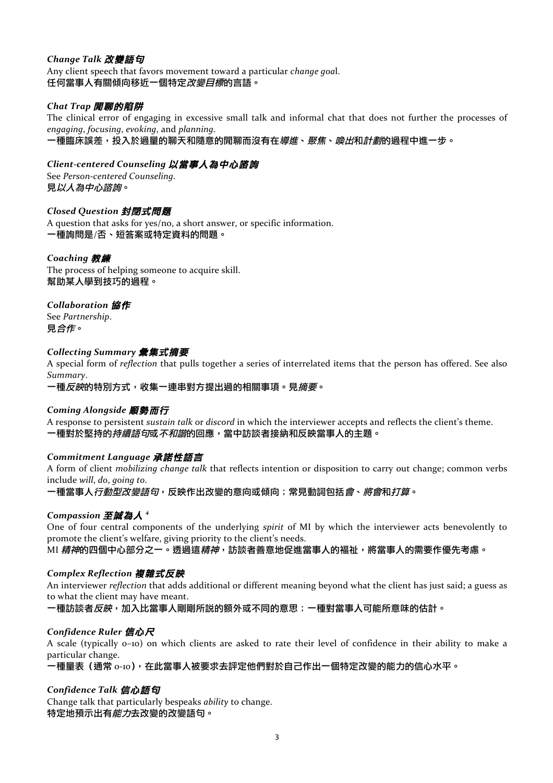# *Change Talk* 改變語句

Any client speech that favors movement toward a particular *change goal*. 任何當事人有關傾向移近一個特定*改變目標*的言語。

### *Chat Trap* 閒聊的陷阱

The clinical error of engaging in excessive small talk and informal chat that does not further the processes of *engaging*, *focusing*, *evoking*, and *planning*.

一種臨床誤差,投入於過量的聊天和隨意的閒聊而沒有在*導進、聚焦、喚出*和*計劃*的過程中進一步。

# *Client-centered Counseling* 以當事人為中心諮詢

See *Person-centered Counseling*. 見以人為中心諮詢。

### *Closed Question* 封閉式問題

A question that asks for yes/no, a short answer, or specific information. 一種詢問是/否、短答案或特定資料的問題。

### *Coaching* 教練

The process of helping someone to acquire skill. 幫助某人學到技巧的過程。

### *Collaboration* 協作

See *Partnership*. 見合作。

### *Collecting Summary* 彙集式摘要

A special form of *reflection* that pulls together a series of interrelated items that the person has offered. See also *Summary*.

一種*反映*的特別方式,收集一連串對方提出過的相關事項。見*摘要*。

### *Coming Alongside* 順勢而行

A response to persistent *sustain talk* or *discord* in which the interviewer accepts and reflects the client's theme. 一種對於堅持的*持續語句*或*不和諧*的回應,當中訪談者接納和反映當事人的主題。

# *Commitment Language* 承諾性語言

A form of client *mobilizing change talk* that reflects intention or disposition to carry out change; common verbs include *will*, *do*, *going to*.

一種當事人*行動型改變語句*,反映作出改變的意向或傾向;常見動詞包括*會、將會*和*打算*。

# *Compassion* 至誠為人 *<sup>4</sup>*

One of four central components of the underlying *spirit* of MI by which the interviewer acts benevolently to promote the client's welfare, giving priority to the client's needs.

MI 精神的四個中心部分之一。透過這*精神*,訪談者善意地促進當事人的褔祉,將當事人的需要作優先考慮。

### *Complex Reflection* 複雜式反映

An interviewer *reflection* that adds additional or different meaning beyond what the client has just said; a guess as to what the client may have meant.

一種訪談者*反映*,加入比當事人剛剛所説的額外或不同的意思;一種對當事人可能所意味的估計。

# *Confidence Ruler* 信心尺

A scale (typically o-10) on which clients are asked to rate their level of confidence in their ability to make a particular change.

-種量表 (通常 o-ıo),在此當事人被要求去評定他們對於自己作出一個特定改變的能力的信心水平。

### *Confidence Talk* 信心語句

Change talk that particularly bespeaks *ability* to change. 特定地預示出有*能力*去改變的改變語句。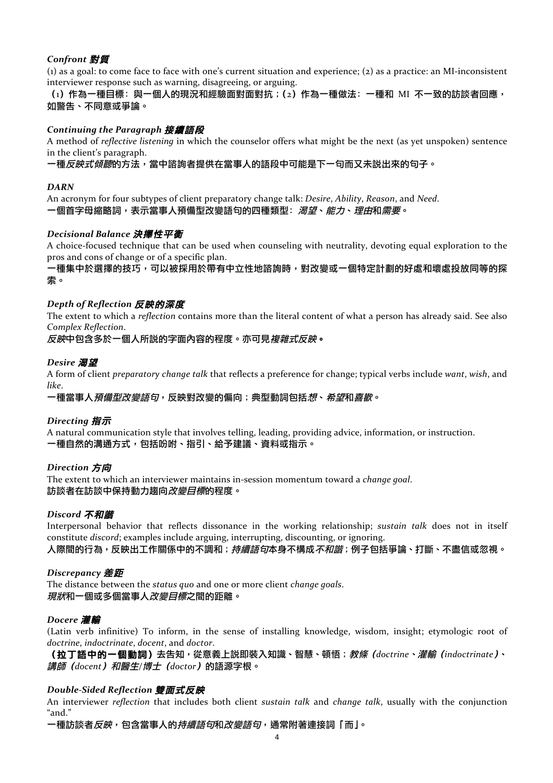# *Confront* 對質

(1) as a goal: to come face to face with one's current situation and experience; (2) as a practice: an MI-inconsistent interviewer response such as warning, disagreeing, or arguing.

 $(i)$ 作為一種目標:與一個人的現況和經驗面對面對抗; $(i)$ 作為一種做法:一種和 MI 不一致的訪談者回應, 如警告、不同意或爭論。

### *Continuing the Paragraph* 接續語段

A method of *reflective listening* in which the counselor offers what might be the next (as yet unspoken) sentence in the client's paragraph.

一種*反映式傾聽*的方法,當中諮詢者提供在當事人的語段中可能是下一句而又未説出來的句子。

#### *DARN*

An acronym for four subtypes of client preparatory change talk: *Desire*, *Ability*, *Reason*, and *Need*. 一個首字母縮略詞,表示當事人預備型改變語句的四種類型: *渴望、能力、理由*和*需要*。

#### *Decisional Balance* 決擇性平衡

A choice-focused technique that can be used when counseling with neutrality, devoting equal exploration to the pros and cons of change or of a specific plan.

一種集中於選擇的技巧,可以被採用於帶有中立性地諮詢時,對改變或一個特定計劃的好處和壞處投放同等的探 索。

#### *Depth of Reflection* 反映的深度

The extent to which a *reflection* contains more than the literal content of what a person has already said. See also *Complex Reflection*.

反映中包含多於一個人所說的字面內容的程度。亦可見複雜式反映。

#### *Desire* 渴望

A form of client *preparatory* change talk that reflects a preference for change; typical verbs include want, wish, and *like*.

一種當事人*預備型改變語句*,反映對改變的偏向;典型動詞包括*想、希望*和*喜歡*。

#### *Directing* 指示

A natural communication style that involves telling, leading, providing advice, information, or instruction. 一種自然的溝通方式,包括吩咐、指引、給予建議、資料或指示。

#### *Direction* 方向

The extent to which an interviewer maintains in-session momentum toward a *change qoal*. 訪談者在訪談中保持動力趨向*改變目標*的程度。

#### *Discord* 不和諧

Interpersonal behavior that reflects dissonance in the working relationship; *sustain talk* does not in itself constitute *discord*; examples include arguing, interrupting, discounting, or ignoring.

人際間的行為,反映出工作關係中的不調和;*持續語句*本身不構成*不和諧*;例子包括爭論、打斷、不盡信或忽視。

#### *Discrepancy* 差距

The distance between the *status* quo and one or more client *change goals*. *現狀*和一個或多個當事人*改變目標*之間的距離。

#### *Docere* 灌輸

(Latin verb infinitive) To inform, in the sense of installing knowledge, wisdom, insight; etymologic root of *doctrine*, *indoctrinate*, *docent*, and *doctor*.

(拉丁語中的一個動詞)去告知,從意義上說即裝入知識、智慧、頓悟;教條(*doctrine*、灌輸(*indoctrinate*)、 講師(*docent*)和醫生*/*博士(*doctor*)的語源字根。

#### *Double-Sided Reflection* 雙面式反映

An interviewer *reflection* that includes both client *sustain talk* and *change talk*, usually with the conjunction "and."

一種訪談者*反映*,包含當事人的*持續語句*和*改變語句*,通常附著連接詞「而」。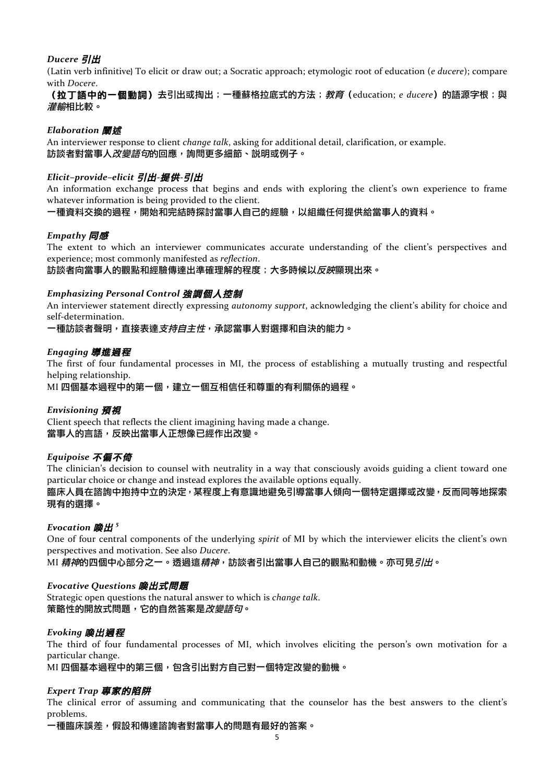# *Ducere* 引出

(Latin verb infinitive) To elicit or draw out; a Socratic approach; etymologic root of education (*e ducere*); compare with *Docere*.

(拉丁語中的一個動詞)去引出或掏出;一種蘇格拉底式的方法;教育 (education; e ducere) 的語源字根;與 灌輸相比較。

### *Elaboration* 闡述

An interviewer response to client *change talk*, asking for additional detail, clarification, or example. 訪談者對當事人*改變語句*的回應,詢問更多細節、説明或例子。

### *Elicit–provide–elicit* 引出*-*提供*-*引出

An information exchange process that begins and ends with exploring the client's own experience to frame whatever information is being provided to the client.

一種資料交換的過程,開始和完結時探討當事人自己的經驗,以組織任何提供給當事人的資料。

### *Empathy* 同感

The extent to which an interviewer communicates accurate understanding of the client's perspectives and experience; most commonly manifested as *reflection*.

訪談者向當事人的觀點和經驗傳達出準確理解的程度;大多時候以*反映*顯現出來。

#### *Emphasizing Personal Control* 強調個人控制

An interviewer statement directly expressing *autonomy support*, acknowledging the client's ability for choice and self-determination.

一種訪談者聲明,直接表達*支持自主性*,承認當事人對選擇和自決的能力。

#### *Engaging* 導進過程

The first of four fundamental processes in MI, the process of establishing a mutually trusting and respectful helping relationship.

MI 四個基本過程中的第一個,建立一個互相信任和尊重的有利關係的過程。

### *Envisioning* 預視

Client speech that reflects the client imagining having made a change. 當事人的言語,反映出當事人正想像已經作出改變。

### *Equipoise* 不偏不倚

The clinician's decision to counsel with neutrality in a way that consciously avoids guiding a client toward one particular choice or change and instead explores the available options equally.

臨床人員在諮詢中抱持中立的決定,某程度上有意識地避免引導當事人傾向一個特定選擇或改變,反而同等地探索 現有的選擇。

### *Evocation* 喚出 *<sup>5</sup>*

One of four central components of the underlying *spirit* of MI by which the interviewer elicits the client's own perspectives and motivation. See also *Ducere*.

MI 精神的四個中心部分之一。透過這精神,訪談者引出當事人自己的觀點和動機。亦可見引出。

#### *Evocative Questions* 喚出式問題

Strategic open questions the natural answer to which is *change talk*. 策略性的開放式問題,它的自然答案是*改變語句*。

### *Evoking* 喚出過程

The third of four fundamental processes of MI, which involves eliciting the person's own motivation for a particular change.

MI 四個基本過程中的第三個,包含引出對方自己對一個特定改變的動機。

### *Expert Trap* 專家的陷阱

The clinical error of assuming and communicating that the counselor has the best answers to the client's problems.

一種臨床誤差,假設和傳達諮詢者對當事人的問題有最好的答案。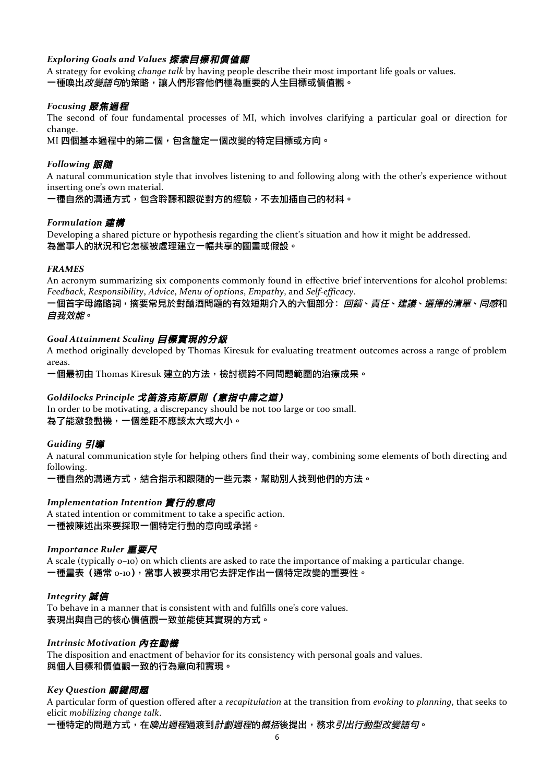# *Exploring Goals and Values* 探索目標和價值觀

A strategy for evoking *change talk* by having people describe their most important life goals or values.

一種喚出*改變語句*的策略,讓人們形容他們極為重要的人生目標或價值觀。

### *Focusing* 聚焦過程

The second of four fundamental processes of MI, which involves clarifying a particular goal or direction for change.

MI 四個基本過程中的第二個,包含釐定一個改變的特定目標或方向。

### *Following* 跟隨

A natural communication style that involves listening to and following along with the other's experience without inserting one's own material.

一種自然的溝通方式,包含聆聽和跟從對方的經驗,不去加插自己的材料。

### *Formulation* 建構

Developing a shared picture or hypothesis regarding the client's situation and how it might be addressed. 為當事人的狀況和它怎樣被處理建立一幅共享的圖畫或假設。

#### *FRAMES*

An acronym summarizing six components commonly found in effective brief interventions for alcohol problems: *Feedback*, *Responsibility*, *Advice*, *Menu of options*, *Empathy*, and *Self-efficacy*.

一個首字母縮略詞,摘要常見於對酗酒問題的有效短期介入的六個部分: 回饋、*責任、建議、選擇的清單、同感*和 自我效能。

### *Goal Attainment Scaling* 目標實現的分級

A method originally developed by Thomas Kiresuk for evaluating treatment outcomes across a range of problem areas.

-個最初由 Thomas Kiresuk 建立的方法,檢討橫跨不同問題範圍的治療成果。

### *Goldilocks Principle* 戈笛洛克斯原則(意指中庸之道)

In order to be motivating, a discrepancy should be not too large or too small. 為了能激發動機,一個差距不應該太大或大小。

### *Guiding* 引導

A natural communication style for helping others find their way, combining some elements of both directing and following.

一種自然的溝通方式,結合指示和跟隨的一些元素,幫助別人找到他們的方法。

### *Implementation Intention* 實行的意向

A stated intention or commitment to take a specific action. 一種被陳述出來要採取一個特定行動的意向或承諾。

#### *Importance Ruler* 重要尺

A scale (typically  $o$ –10) on which clients are asked to rate the importance of making a particular change. 一種量表 (通常 o-ıo),當事人被要求用它去評定作出一個特定改變的重要性。

#### *Integrity* 誠信

To behave in a manner that is consistent with and fulfills one's core values. 表現出與自己的核心價值觀一致並能使其實現的方式。

#### *Intrinsic Motivation* 內在動機

The disposition and enactment of behavior for its consistency with personal goals and values. 與個人目標和價值觀一致的行為意向和實現。

#### *Key Question* 關鍵問題

A particular form of question offered after a *recapitulation* at the transition from *evoking* to *planning*, that seeks to elicit *mobilizing change talk*.

一種特定的問題方式,在*喚出過程*過渡到*計劃週程*的*概括*後提出,務求*引出行動型改變語句*。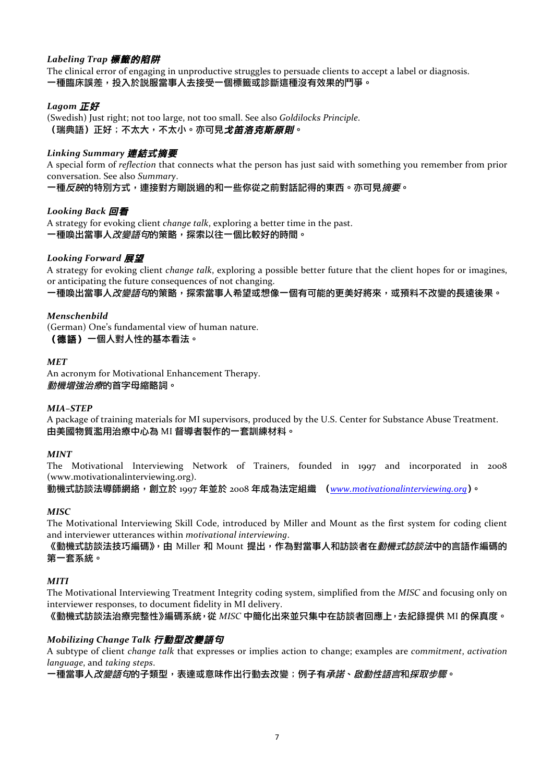# *Labeling Trap* 標籤的陷阱

The clinical error of engaging in unproductive struggles to persuade clients to accept a label or diagnosis. -種臨床誤差,投入於説服當事人去接受一個標籤或診斷這種沒有效果的鬥爭。

# *Lagom* 正好

(Swedish) Just right; not too large, not too small. See also *Goldilocks Principle*. (瑞典語)正好;不太大,不太小。亦可見*戈笛洛克斯原則*。

### *Linking Summary* 連結式摘要

A special form of *reflection* that connects what the person has just said with something you remember from prior conversation. See also *Summary*.

一種*反映*的特別方式,連接對方剛説過的和一些你從之前對話記得的東西。亦可見*摘要*。

### *Looking Back* 回看

A strategy for evoking client *change talk*, exploring a better time in the past. 一種喚出當事人改變語句的策略,探索以往一個比較好的時間。

### *Looking Forward* 展望

A strategy for evoking client *change talk*, exploring a possible better future that the client hopes for or imagines, or anticipating the future consequences of not changing.

一種喚出當事人*改變語句*的策略,探索當事人希望或想像一個有可能的更美好將來,或預料不改變的長遠後果。

#### *Menschenbild*

(German) One's fundamental view of human nature. (德語)一個人對人性的基本看法。

*MET*

An acronym for Motivational Enhancement Therapy. 動機增強治療的首字母縮略詞。

#### *MIA–STEP*

A package of training materials for MI supervisors, produced by the U.S. Center for Substance Abuse Treatment. 由美國物質濫用治療中心為 MI 督導者製作的一套訓練材料。

#### *MINT*

The Motivational Interviewing Network of Trainers, founded in 1997 and incorporated in 2008 (www.motivationalinterviewing.org).

動機式訪談法導師網絡,創立於 1997 年並於 2008 年成為法定組織 (*www.motivationalinterviewing.org*)。

#### *MISC*

The Motivational Interviewing Skill Code, introduced by Miller and Mount as the first system for coding client and interviewer utterances within *motivational interviewing*.

《動機式訪談法技巧編碼》,由 Miller 和 Mount 提出,作為對當事人和訪談者在*動機式訪談法*中的言語作編碼的 第一套系統。

#### *MITI*

The Motivational Interviewing Treatment Integrity coding system, simplified from the *MISC* and focusing only on interviewer responses, to document fidelity in MI delivery.

《動機式訪談法治療完整性》編碼系統,從 *MISC* 中簡化出來並只集中在訪談者回應上,去紀錄提供 MI 的保真度。

### *Mobilizing Change Talk* 行動型改變語句

A subtype of client *change talk* that expresses or implies action to change; examples are *commitment*, *activation language*, and *taking steps*.

一種當事人*改變語句*的子類型,表達或意味作出行動去改變;例子有*承諾、啟動性語言*和*採取步驟。*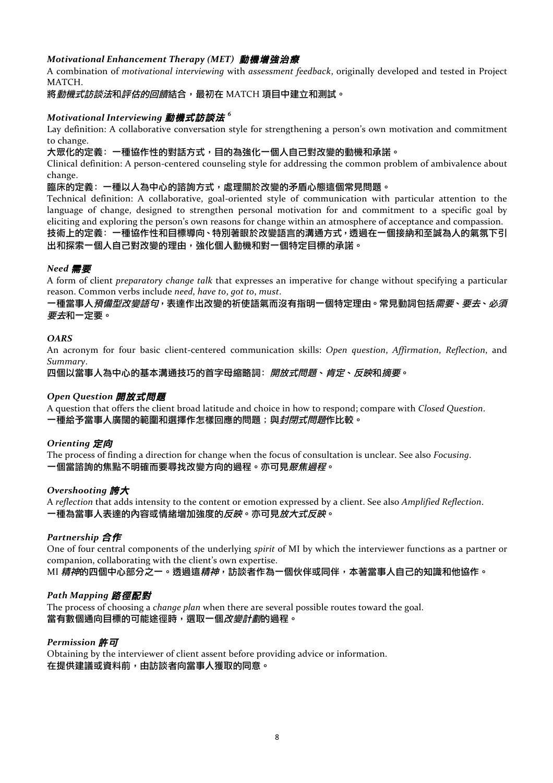# *Motivational Enhancement Therapy (MET)* 動機增強治療

A combination of *motivational interviewing* with *assessment feedback*, originally developed and tested in Project MATCH.

將動機式訪談法和評估的回饋結合,最初在 MATCH 項目中建立和測試。

# *Motivational Interviewing* 動機式訪談法 *<sup>6</sup>*

Lay definition: A collaborative conversation style for strengthening a person's own motivation and commitment to change.

大眾化的定義:一種協作性的對話方式,目的為強化一個人自己對改變的動機和承諾。

Clinical definition: A person-centered counseling style for addressing the common problem of ambivalence about change.

#### 臨床的定義:一種以人為中心的諮詢方式,處理關於改變的矛盾心態這個常見問題。

Technical definition: A collaborative, goal-oriented style of communication with particular attention to the language of change, designed to strengthen personal motivation for and commitment to a specific goal by eliciting and exploring the person's own reasons for change within an atmosphere of acceptance and compassion.

### 技術上的定義:一種協作性和目標導向、特別著眼於改變語言的溝通方式,透過在一個接納和至誠為人的氣氛下引 出和探索一個人自己對改變的理由,強化個人動機和對一個特定目標的承諾。

# *Need* 需要

A form of client *preparatory change talk* that expresses an imperative for change without specifying a particular reason. Common verbs include *need*, have to, got to, must.

### 一種當事人*預備型改變語句*,表達作出改變的祈使語氣而沒有指明一個特定理由。常見動詞包括*需要、要去、必須* 要去和一定要。

#### *OARS*

An acronym for four basic client-centered communication skills: *Open question*, *Affirmation*, *Reflection*, and *Summary*.

四個以當事人為中心的基本溝通技巧的首字母縮略詞: 開放式問題、肯定、反映和摘要。

### *Open Question* 開放式問題

A question that offers the client broad latitude and choice in how to respond; compare with *Closed Question*. 一種給予當事人廣闊的範圍和選擇作怎樣回應的問題;與*封閉式問題*作比較。

### *Orienting* 定向

The process of finding a direction for change when the focus of consultation is unclear. See also *Focusing*. 一個當諮詢的焦點不明確而要尋找改變方向的過程。亦可見聚焦過程。

### *Overshooting* 誇大

A *reflection* that adds intensity to the content or emotion expressed by a client. See also *Amplified Reflection*. 一種為當事人表達的內容或情緒增加強度的反映。亦可見放大式反映。

### *Partnership* 合作

One of four central components of the underlying *spirit* of MI by which the interviewer functions as a partner or companion, collaborating with the client's own expertise.

MI *精神*的四個中心部分之一。透過這*精神*,訪談者作為一個伙伴或同伴,本著當事人自己的知識和他協作。

### *Path Mapping* 路徑配對

The process of choosing a *change plan* when there are several possible routes toward the goal. 當有數個通向目標的可能途徑時,選取一個*改變計劃*的過程。

### *Permission* 許可

Obtaining by the interviewer of client assent before providing advice or information. 在提供建議或資料前,由訪談者向當事人獲取的同意。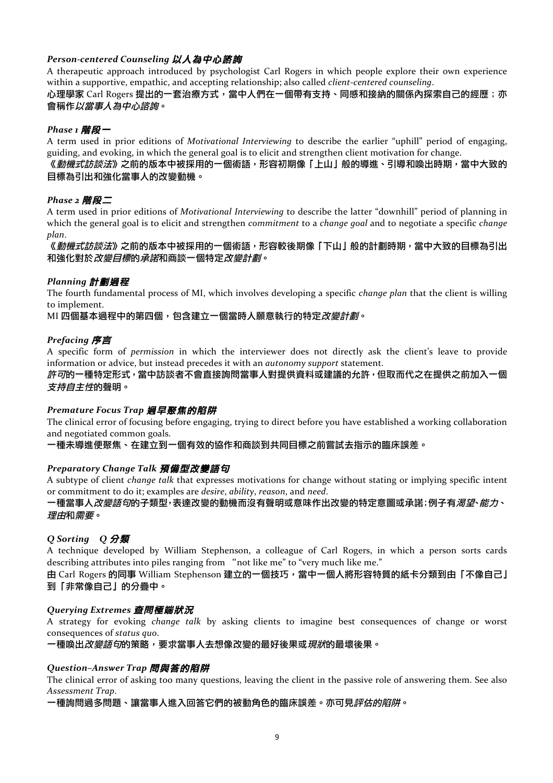# Person-centered Counseling 以人為中心諮詢

A therapeutic approach introduced by psychologist Carl Rogers in which people explore their own experience within a supportive, empathic, and accepting relationship; also called *client-centered counseling*.

### 心理學家 Carl Rogers 提出的一套治療方式,當中人們在一個帶有支持、同感和接納的關係內探索自己的經歷;亦 會稱作以當事人為中心諮詢。

# *Phase 1* 階段一

A term used in prior editions of *Motivational Interviewing* to describe the earlier "uphill" period of engaging, guiding, and evoking, in which the general goal is to elicit and strengthen client motivation for change.

### 《*動機式訪談法*》之前的版本中被採用的一個術語,形容初期像「上山」般的導進、引導和喚出時期,當中大致的 目標為引出和強化當事人的改變動機。

# *Phase 2* 階段二

A term used in prior editions of *Motivational Interviewing* to describe the latter "downhill" period of planning in which the general goal is to elicit and strengthen *commitment* to a *change goal* and to negotiate a specific *change plan*.

《*動機式訪談法*》之前的版本中被採用的一個術語,形容較後期像「下山」般的計劃時期,當中大致的目標為引出 和強化對於*改變目標*的*承諾*和商談一個特定*改變計劃*。

# *Planning* 計劃過程

The fourth fundamental process of MI, which involves developing a specific *change plan* that the client is willing to implement.

### MI 四個基本過程中的第四個,包含建立一個當時人願意執行的特定*改變計劃*。

# *Prefacing* 序言

A specific form of *permission* in which the interviewer does not directly ask the client's leave to provide information or advice, but instead precedes it with an *autonomy support* statement.

許可的一種特定形式,當中訪談者不會直接詢問當事人對提供資料或建議的允許,但取而代之在提供之前加入一個 **支***持自主性***的聲明。** 

### **Premature Focus Trap 過早聚焦的陷阱**

The clinical error of focusing before engaging, trying to direct before you have established a working collaboration and negotiated common goals.

一種未導進便聚焦、在建立到一個有效的協作和商談到共同目標之前嘗試去指示的臨床誤差。

### *Preparatory Change Talk* 預備型改變語句

A subtype of client *change talk* that expresses motivations for change without stating or implying specific intent or commitment to do it; examples are *desire*, *ability*, *reason*, and *need*.

### 一種當事人*改變語句*的子類型<sup>,</sup>表達改變的動機而沒有聲明或意味作出改變的特定意圖或承諾;例子有*渴望、能力、* 理由和需要。

# *Q Sorting Q* 分類

A technique developed by William Stephenson, a colleague of Carl Rogers, in which a person sorts cards describing attributes into piles ranging from "not like me" to "very much like me."

由 Carl Rogers 的同事 William Stephenson 建立的一個技巧,當中一個人將形容特質的紙卡分類到由「不像自己」 到「非常像自己」的分疊中。

### *Querying Extremes* 查問極端狀況

A strategy for evoking *change talk* by asking clients to imagine best consequences of change or worst consequences of *status* quo.

一種喚出*改變語句*的策略,要求當事人去想像改變的最好後果或*現狀*的最壞後果。

### *Question–Answer Trap* 問與答的陷阱

The clinical error of asking too many questions, leaving the client in the passive role of answering them. See also *Assessment Trap*.

一種詢問過多問題、讓當事人進入回答它們的被動角色的臨床誤差。亦可見*評估的陷阱*。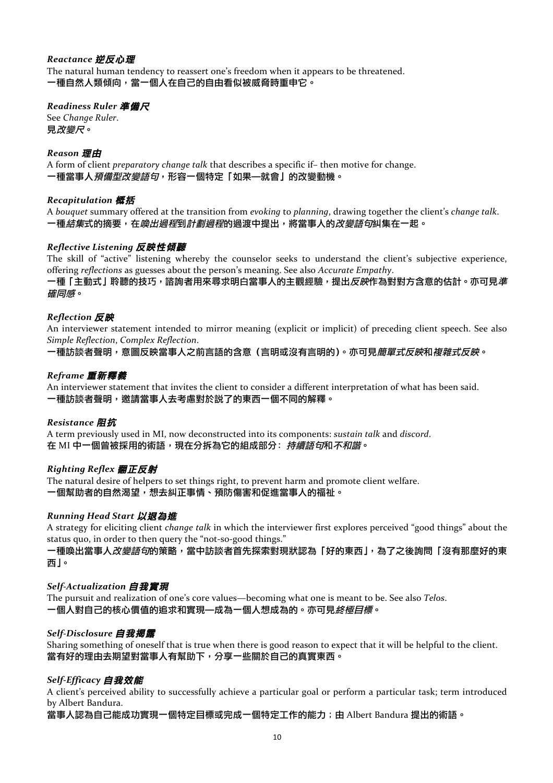### *Reactance* 逆反心理

The natural human tendency to reassert one's freedom when it appears to be threatened. 一種自然人類傾向,當一個人在自己的自由看似被威脅時重申它。

### *Readiness Ruler* 準備尺

See *Change Ruler*. 見改變尺。

### *Reason* 理由

A form of client *preparatory* change talk that describes a specific if- then motive for change. 一種當事人預備型改變語句,形容一個特定「如果—就會」的改變動機。

### *Recapitulation* 概括

A *bouquet* summary offered at the transition from *evoking* to *planning*, drawing together the client's *change* talk. 一種*結集*式的摘要,在*喚出過程*到*計劃過程*的過渡中提出,將當事人的*改變語句*糾集在一起。

### *Reflective Listening* 反映性傾聽

The skill of "active" listening whereby the counselor seeks to understand the client's subjective experience, offering *reflections* as guesses about the person's meaning. See also *Accurate Empathy*.

一種「主動式」聆聽的技巧,諮詢者用來尋求明白當事人的主觀經驗,提出*反映*作為對對方含意的估計。亦可見*準* 確同感。

#### *Reflection* 反映

An interviewer statement intended to mirror meaning (explicit or implicit) of preceding client speech. See also *Simple Reflection*, *Complex Reflection*.

一種訪談者聲明,意圖反映當事人之前言語的含意(言明或沒有言明的)。亦可見*簡單式反映和複雜式反映*。

### *Reframe* 重新釋義

An interviewer statement that invites the client to consider a different interpretation of what has been said. 一種訪談者聲明,邀請當事人去考慮對於説了的東西一個不同的解釋。

#### *Resistance* 阻抗

A term previously used in MI, now deconstructed into its components: *sustain talk* and *discord*. 在 MI 中一個曾被採用的術語,現在分拆為它的組成部分: 持續語句和不和諧。

### *Righting Reflex* 翻正反射

The natural desire of helpers to set things right, to prevent harm and promote client welfare. 一個幫助者的自然渴望,想去糾正事情、預防傷害和促進當事人的福祉。

### *Running Head Start* 以退為進

A strategy for eliciting client *change talk* in which the interviewer first explores perceived "good things" about the status quo, in order to then query the "not-so-good things."

一種喚出當事人*改變語句*的策略,當中訪談者首先探索對現狀認為「好的東西」,為了之後詢問「沒有那麼好的東 西」。

### *Self-Actualization* 自我實現

The pursuit and realization of one's core values—becoming what one is meant to be. See also *Telos*. 一個人對自己的核心價值的追求和實現—成為一個人想成為的。亦可見終極目標。

#### *Self-Disclosure* 自我揭露

Sharing something of oneself that is true when there is good reason to expect that it will be helpful to the client. 當有好的理由去期望對當事人有幫助下,分享一些關於自己的真實東西。

### *Self-Efficacy* 自我效能

A client's perceived ability to successfully achieve a particular goal or perform a particular task; term introduced by Albert Bandura.

當事人認為自己能成功實現一個特定目標或完成一個特定工作的能力;由 Albert Bandura 提出的術語。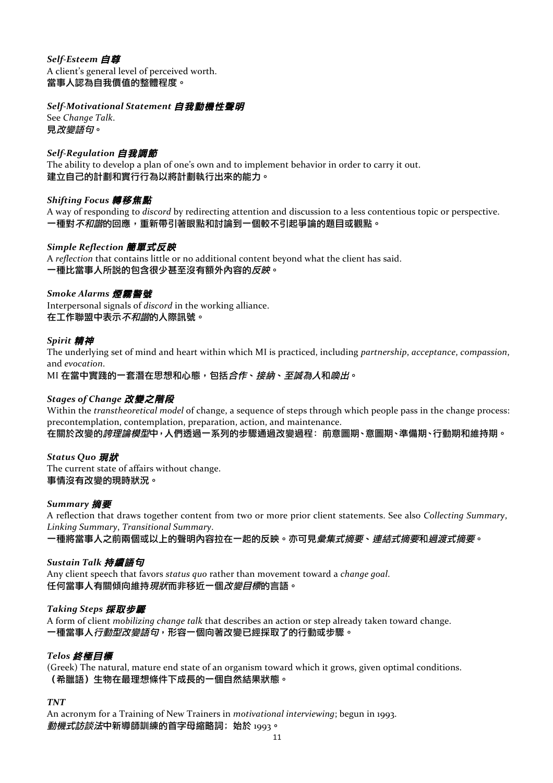### *Self-Esteem* 自尊 A client's general level of perceived worth. 當事人認為自我價值的整體程度。

# *Self-Motivational Statement* 自我動機性聲明

See *Change Talk*. 見改變語句。

# *Self-Regulation* 自我調節

The ability to develop a plan of one's own and to implement behavior in order to carry it out. 建立自己的計劃和實行行為以將計劃執行出來的能力。

# *Shifting Focus* 轉移焦點

A way of responding to *discord* by redirecting attention and discussion to a less contentious topic or perspective. 一種對*不和諧*的回應,重新帶引著眼點和討論到一個較不引起爭論的題目或觀點。

### *Simple Reflection* 簡單式反映

A *reflection* that contains little or no additional content beyond what the client has said. 一種比當事人所說的包含很少甚至沒有額外內容的反映。

### *Smoke Alarms* 煙霧警號

Interpersonal signals of *discord* in the working alliance. 在工作聯盟中表示不和諧的人際訊號。

# *Spirit* 精神

The underlying set of mind and heart within which MI is practiced, including *partnership*, *acceptance*, *compassion*, and *evocation*.

MI 在當中實踐的一套潛在思想和心態,包括*合作、接納、至誠為人*和*喚出*。

### *Stages of Change* 改變之階段

Within the *transtheoretical model* of change, a sequence of steps through which people pass in the change process: precontemplation, contemplation, preparation, action, and maintenance.

在關於改變的*誇理論模型*中,人們透過一系列的步驟通過改變過程:前意圖期、意圖期、準備期、行動期和維持期。

### *Status Quo* 現狀

The current state of affairs without change. 事情沒有改變的現時狀況。

### *Summary* 摘要

A reflection that draws together content from two or more prior client statements. See also *Collecting Summary*, *Linking Summary*, *Transitional Summary*.

一種將當事人之前兩個或以上的聲明內容拉在一起的反映。亦可見彙集式摘要、連結式摘要和過渡式摘要。

### *Sustain Talk* 持續語句

Any client speech that favors *status* quo rather than movement toward a *change goal*. 任何當事人有關傾向維持*現狀*而非移近一個*改變目標*的言語。

### *Taking Steps* 採取步驟

A form of client *mobilizing change talk* that describes an action or step already taken toward change. 一種當事人*行動型改變語句*,形容一個向著改變已經採取了的行動或步驟。

### *Telos* 終極目標

(Greek) The natural, mature end state of an organism toward which it grows, given optimal conditions. (希臘語)生物在最理想條件下成長的一個自然結果狀態。

### *TNT*

An acronym for a Training of New Trainers in *motivational interviewing*; begun in 1993. 動機式訪談法中新導師訓練的首字母縮略詞;始於 1993。